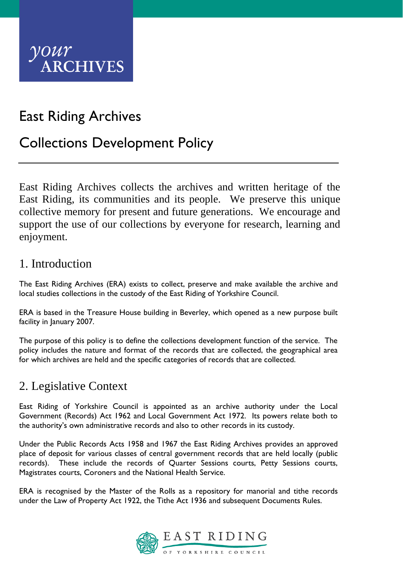

# East Riding Archives

## Collections Development Policy

East Riding Archives collects the archives and written heritage of the East Riding, its communities and its people. We preserve this unique collective memory for present and future generations. We encourage and support the use of our collections by everyone for research, learning and enjoyment.

#### 1. Introduction

The East Riding Archives (ERA) exists to collect, preserve and make available the archive and local studies collections in the custody of the East Riding of Yorkshire Council.

ERA is based in the Treasure House building in Beverley, which opened as a new purpose built facility in January 2007.

The purpose of this policy is to define the collections development function of the service. The policy includes the nature and format of the records that are collected, the geographical area for which archives are held and the specific categories of records that are collected.

## 2. Legislative Context

East Riding of Yorkshire Council is appointed as an archive authority under the Local Government (Records) Act 1962 and Local Government Act 1972. Its powers relate both to the authority's own administrative records and also to other records in its custody.

Under the Public Records Acts 1958 and 1967 the East Riding Archives provides an approved place of deposit for various classes of central government records that are held locally (public records). These include the records of Quarter Sessions courts, Petty Sessions courts, Magistrates courts, Coroners and the National Health Service.

ERA is recognised by the Master of the Rolls as a repository for manorial and tithe records under the Law of Property Act 1922, the Tithe Act 1936 and subsequent Documents Rules.

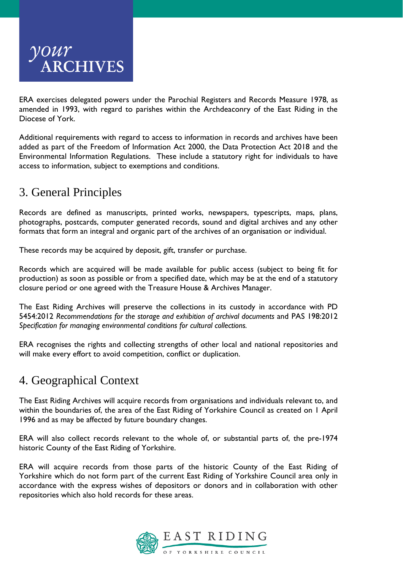

ERA exercises delegated powers under the Parochial Registers and Records Measure 1978, as amended in 1993, with regard to parishes within the Archdeaconry of the East Riding in the Diocese of York.

Additional requirements with regard to access to information in records and archives have been added as part of the Freedom of Information Act 2000, the Data Protection Act 2018 and the Environmental Information Regulations. These include a statutory right for individuals to have access to information, subject to exemptions and conditions.

## 3. General Principles

Records are defined as manuscripts, printed works, newspapers, typescripts, maps, plans, photographs, postcards, computer generated records, sound and digital archives and any other formats that form an integral and organic part of the archives of an organisation or individual.

These records may be acquired by deposit, gift, transfer or purchase.

Records which are acquired will be made available for public access (subject to being fit for production) as soon as possible or from a specified date, which may be at the end of a statutory closure period or one agreed with the Treasure House & Archives Manager.

The East Riding Archives will preserve the collections in its custody in accordance with PD 5454:2012 *Recommendations for the storage and exhibition of archival documents* and PAS 198:2012 *Specification for managing environmental conditions for cultural collections.*

ERA recognises the rights and collecting strengths of other local and national repositories and will make every effort to avoid competition, conflict or duplication.

#### 4. Geographical Context

The East Riding Archives will acquire records from organisations and individuals relevant to, and within the boundaries of, the area of the East Riding of Yorkshire Council as created on 1 April 1996 and as may be affected by future boundary changes.

ERA will also collect records relevant to the whole of, or substantial parts of, the pre-1974 historic County of the East Riding of Yorkshire.

ERA will acquire records from those parts of the historic County of the East Riding of Yorkshire which do not form part of the current East Riding of Yorkshire Council area only in accordance with the express wishes of depositors or donors and in collaboration with other repositories which also hold records for these areas.

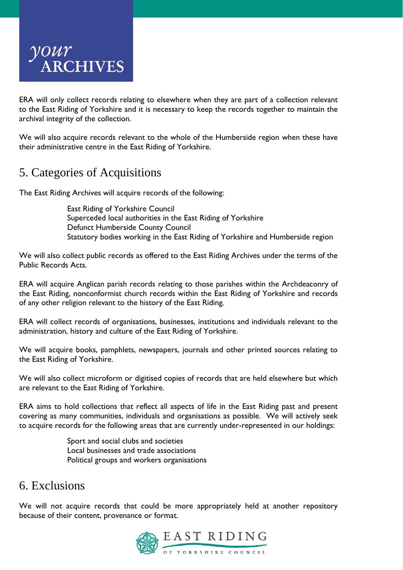

ERA will only collect records relating to elsewhere when they are part of a collection relevant to the East Riding of Yorkshire and it is necessary to keep the records together to maintain the archival integrity of the collection.

We will also acquire records relevant to the whole of the Humberside region when these have their administrative centre in the East Riding of Yorkshire.

## 5. Categories of Acquisitions

The East Riding Archives will acquire records of the following:

East Riding of Yorkshire Council Superceded local authorities in the East Riding of Yorkshire Defunct Humberside County Council Statutory bodies working in the East Riding of Yorkshire and Humberside region

We will also collect public records as offered to the East Riding Archives under the terms of the Public Records Acts.

ERA will acquire Anglican parish records relating to those parishes within the Archdeaconry of the East Riding, nonconformist church records within the East Riding of Yorkshire and records of any other religion relevant to the history of the East Riding.

ERA will collect records of organisations, businesses, institutions and individuals relevant to the administration, history and culture of the East Riding of Yorkshire.

We will acquire books, pamphlets, newspapers, journals and other printed sources relating to the East Riding of Yorkshire.

We will also collect microform or digitised copies of records that are held elsewhere but which are relevant to the East Riding of Yorkshire.

ERA aims to hold collections that reflect all aspects of life in the East Riding past and present covering as many communities, individuals and organisations as possible. We will actively seek to acquire records for the following areas that are currently under-represented in our holdings:

> Sport and social clubs and societies Local businesses and trade associations Political groups and workers organisations

#### 6. Exclusions

We will not acquire records that could be more appropriately held at another repository because of their content, provenance or format.